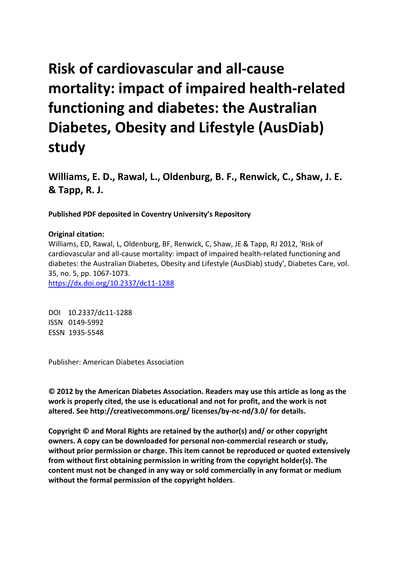# **Risk of cardiovascular and all-cause mortality: impact of impaired health-related functioning and diabetes: the Australian Diabetes, Obesity and Lifestyle (AusDiab) study**

**Williams, E. D., Rawal, L., Oldenburg, B. F., Renwick, C., Shaw, J. E. & Tapp, R. J.** 

**Published PDF deposited in Coventry University's Repository** 

# **Original citation:**

Williams, ED, Rawal, L, Oldenburg, BF, Renwick, C, Shaw, JE & Tapp, RJ 2012, 'Risk of cardiovascular and all-cause mortality: impact of impaired health-related functioning and diabetes: the Australian Diabetes, Obesity and Lifestyle (AusDiab) study', Diabetes Care, vol. 35, no. 5, pp. 1067-1073. https://dx.doi.org/10.2337/dc11-1288

 DOI 10.2337/dc11-1288 ISSN 0149-5992 ESSN 1935-5548

Publisher: American Diabetes Association

**© 2012 by the American Diabetes Association. Readers may use this article as long as the work is properly cited, the use is educational and not for profit, and the work is not altered. See http://creativecommons.org/ licenses/by-nc-nd/3.0/ for details.** 

**Copyright © and Moral Rights are retained by the author(s) and/ or other copyright owners. A copy can be downloaded for personal non-commercial research or study, without prior permission or charge. This item cannot be reproduced or quoted extensively from without first obtaining permission in writing from the copyright holder(s). The content must not be changed in any way or sold commercially in any format or medium without the formal permission of the copyright holders**.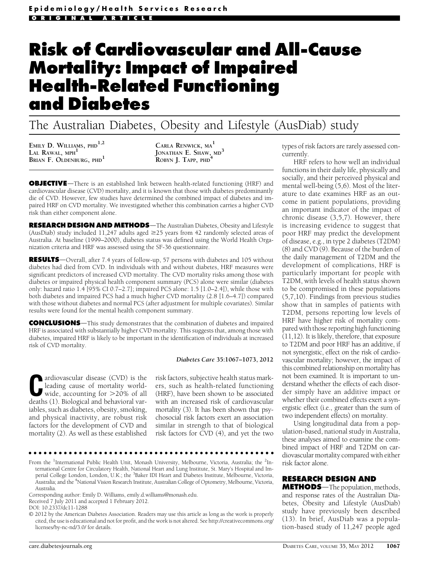# Risk of Cardiovascular and All-Cause Mortality: Impact of Impaired Health-Related Functioning and Diabetes

# The Australian Diabetes, Obesity and Lifestyle (AusDiab) study

EMILY D. WILLIAMS, PHD<sup>1,2</sup> CARLA RENWICK, MA<sup>1</sup><br>LAL RAWAL, MPH<sup>1</sup> JONATHAN E. SHAW, M BRIAN F. OLDENBURG, PHD<sup>1</sup>

JONATHAN E. SHAW, MD<sup>3</sup><br>ROBYN J. TAPP, PHD<sup>4</sup>

**OBJECTIVE**—There is an established link between health-related functioning (HRF) and cardiovascular disease (CVD) mortality, and it is known that those with diabetes predominantly die of CVD. However, few studies have determined the combined impact of diabetes and impaired HRF on CVD mortality. We investigated whether this combination carries a higher CVD risk than either component alone.

RESEARCH DESIGN AND METHODS—The Australian Diabetes, Obesity and Lifestyle (AusDiab) study included 11,247 adults aged  $\geq$ 25 years from 42 randomly selected areas of Australia. At baseline (1999–2000), diabetes status was defined using the World Health Organization criteria and HRF was assessed using the SF-36 questionnaire.

RESULTS-Overall, after 7.4 years of follow-up, 57 persons with diabetes and 105 without diabetes had died from CVD. In individuals with and without diabetes, HRF measures were significant predictors of increased CVD mortality. The CVD mortality risks among those with diabetes or impaired physical health component summary (PCS) alone were similar (diabetes only: hazard ratio 1.4 [95% CI 0.7–2.7]; impaired PCS alone: 1.5 [1.0–2.4]), while those with both diabetes and impaired PCS had a much higher CVD mortality (2.8 [1.6–4.7]) compared with those without diabetes and normal PCS (after adjustment for multiple covariates). Similar results were found for the mental health component summary.

**CONCLUSIONS**—This study demonstrates that the combination of diabetes and impaired HRF is associated with substantially higher CVD mortality. This suggests that, among those with diabetes, impaired HRF is likely to be important in the identification of individuals at increased risk of CVD mortality.

### Diabetes Care 35:1067–1073, 2012

ardiovascular disease (CVD) is the risk factors, subjective health status mark-<br>leading cause of mortality world-<br>wide, accounting for >20% of all (HRF), have been shown to be associated<br>deaths (1). Biological and behavior iables, such as diabetes, obesity, smoking, mortality (3). It has been shown that psyand physical inactivity, are robust risk chosocial risk factors exert an association factors for the development of CVD and similar in strength to that of biological mortality (2). As well as these established risk factors for CVD (4), and yet the two

ers, such as health-related functioning (HRF), have been shown to be associated with an increased risk of cardiovascular

ccccccccccccccccccccccccccccccccccccccccccccccccc

From the <sup>1</sup>International Public Health Unit, Monash University, Melbourne, Victoria, Australia; the <sup>2</sup>International Centre for Circulatory Health, National Heart and Lung Institute, St. Mary's Hospital and Imperial College London, London, U.K.; the <sup>3</sup>Baker IDI Heart and Diabetes Institute, Melbourne, Victoria, .<br>Australia; and the <sup>4</sup>National Vision Research Institute, Australian College of Optometry, Melbourne, Victoria, Australia.

types of risk factors are rarely assessed concurrently.

HRF refers to how well an individual functions in their daily life, physically and socially, and their perceived physical and mental well-being (5,6). Most of the literature to date examines HRF as an outcome in patient populations, providing an important indicator of the impact of chronic disease (3,5,7). However, there is increasing evidence to suggest that poor HRF may predict the development of disease, e.g., in type 2 diabetes (T2DM)  $(8)$  and CVD $(9)$ . Because of the burden of the daily management of T2DM and the development of complications, HRF is particularly important for people with T2DM, with levels of health status shown to be compromised in these populations (5,7,10). Findings from previous studies show that in samples of patients with T2DM, persons reporting low levels of HRF have higher risk of mortality compared with those reporting high functioning (11,12). It is likely, therefore, that exposure to T2DM and poor HRF has an additive, if not synergistic, effect on the risk of cardiovascular mortality; however, the impact of this combined relationship on mortality has not been examined. It is important to understand whether the effects of each disorder simply have an additive impact or whether their combined effects exert a synergistic effect (i.e., greater than the sum of two independent effects) on mortality.

Using longitudinal data from a population-based, national study in Australia, these analyses aimed to examine the combined impact of HRF and T2DM on cardiovascular mortality compared with either risk factor alone.

### RESEARCH DESIGN AND

**METHODS**—The population, methods, and response rates of the Australian Diabetes, Obesity and Lifestyle (AusDiab) study have previously been described (13). In brief, AusDiab was a population-based study of 11,247 people aged

Corresponding author: Emily D. Williams, [emily.d.williams@monash.edu](mailto:emily.d.williams@monash.edu).

Received 7 July 2011 and accepted 1 February 2012.

DOI: 10.2337/dc11-1288

<sup>©</sup> 2012 by the American Diabetes Association. Readers may use this article as long as the work is properly cited, the use is educational and not for profit, and thework is not altered. See [http://creativecommons.org/](http://creativecommons.org/licenses/by-nc-nd/3.0/) [licenses/by-nc-nd/3.0/](http://creativecommons.org/licenses/by-nc-nd/3.0/) for details.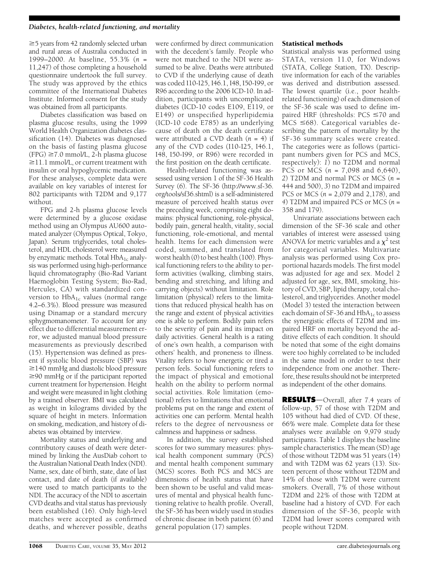$\geq$  5 years from 42 randomly selected urban and rural areas of Australia conducted in 1999–2000. At baseline, 55.3% (n = 11,247) of those completing a household questionnaire undertook the full survey. The study was approved by the ethics committee of the International Diabetes Institute. Informed consent for the study was obtained from all participants.

Diabetes classification was based on plasma glucose results, using the 1999 World Health Organization diabetes classification (14). Diabetes was diagnosed on the basis of fasting plasma glucose  $(FPG) \ge 7.0$  mmol/L, 2-h plasma glucose  $\geq$ 11.1 mmol/L, or current treatment with insulin or oral hypoglycemic medication. For these analyses, complete data were available on key variables of interest for 802 participants with T2DM and 9,177 without.

FPG and 2-h plasma glucose levels were determined by a glucose oxidase method using an Olympus AU600 automated analyzer (Olympus Optical, Tokyo, Japan). Serum triglycerides, total cholesterol, and HDL cholesterol were measured by enzymatic methods. Total  $HbA_{1c}$  analysis was performed using high-performance liquid chromatography (Bio-Rad Variant Haemoglobin Testing System; Bio-Rad, Hercules, CA) with standardized conversion to  $HbA_{1c}$  values (normal range 4.2–6.3%). Blood pressure was measured using Dinamap or a standard mercury sphygmomanometer. To account for any effect due to differential measurement error, we adjusted manual blood pressure measurements as previously described (15). Hypertension was defined as present if systolic blood pressure (SBP) was  $\geq$ 140 mmHg and diastolic blood pressure  $\geq$ 90 mmHg or if the participant reported current treatment for hypertension. Height and weight were measured in light clothing by a trained observer. BMI was calculated as weight in kilograms divided by the square of height in meters. Information on smoking, medication, and history of diabetes was obtained by interview.

Mortality status and underlying and contributory causes of death were determined by linking the AusDiab cohort to the Australian National Death Index (NDI). Name, sex, date of birth, state, date of last contact, and date of death (if available) were used to match participants to the NDI. The accuracy of the NDI to ascertain CVD deaths and vital status has previously been established (16). Only high-level matches were accepted as confirmed deaths, and wherever possible, deaths

were confirmed by direct communication with the decedent's family. People who were not matched to the NDI were assumed to be alive. Deaths were attributed to CVD if the underlying cause of death was coded I10-I25, I46.1, I48, I50-I99, or R96 according to the 2006 ICD-10. In addition, participants with uncomplicated diabetes (ICD-10 codes E109, E119, or E149) or unspecified hyperlipidemia (ICD-10 code E785) as an underlying cause of death on the death certificate were attributed a CVD death  $(n = 4)$  if any of the CVD codes (I10-I25, I46.1, I48, I50-I99, or R96) were recorded in the first position on the death certificate.

Health-related functioning was assessed using version 1 of the SF-36 Health Survey (6). The SF-36 [\(http://www.sf-36.](http://www.sf-36.org/tools/sf36.shtml) [org/tools/sf36.shtml\)](http://www.sf-36.org/tools/sf36.shtml) is a self-administered measure of perceived health status over the preceding week, comprising eight domains: physical functioning, role-physical, bodily pain, general health, vitality, social functioning, role-emotional, and mental health. Items for each dimension were coded, summed, and translated from worst health (0) to best health (100). Physical functioning refers to the ability to perform activities (walking, climbing stairs, bending and stretching, and lifting and carrying objects) without limitation. Role limitation (physical) refers to the limitations that reduced physical health has on the range and extent of physical activities one is able to perform. Bodily pain refers to the severity of pain and its impact on daily activities. General health is a rating of one's own health, a comparison with others' health, and proneness to illness. Vitality refers to how energetic or tired a person feels. Social functioning refers to the impact of physical and emotional health on the ability to perform normal social activities. Role limitation (emotional) refers to limitations that emotional problems put on the range and extent of activities one can perform. Mental health refers to the degree of nervousness or calmness and happiness or sadness.

In addition, the survey established scores for two summary measures: physical health component summary (PCS) and mental health component summary (MCS) scores. Both PCS and MCS are dimensions of health status that have been shown to be useful and valid measures of mental and physical health functioning relative to health profile. Overall, the SF-36 has been widely used in studies of chronic disease in both patient (6) and general population (17) samples.

# Statistical methods

Statistical analysis was performed using STATA, version 11.0, for Windows (STATA, College Station, TX). Descriptive information for each of the variables was derived and distribution assessed. The lowest quartile (i.e., poor healthrelated functioning) of each dimension of the SF-36 scale was used to define impaired HRF (thresholds: PCS  $\leq 70$  and  $MCS \leq 68$ ). Categorical variables describing the pattern of mortality by the SF-36 summary scales were created. The categories were as follows (participant numbers given for PCS and MCS, respectively): 1) no T2DM and normal PCS or MCS (n = 7,098 and 6,640), 2) T2DM and normal PCS or MCS  $(n =$ 444 and 500), 3) no T2DM and impaired PCS or MCS (n = 2,079 and 2,178), and 4) T2DM and impaired PCS or MCS  $(n =$ 358 and 179).

Univariate associations between each dimension of the SF-36 scale and other variables of interest were assessed using ANOVA for metric variables and a  $\chi^2$  test for categorical variables. Multivariate analysis was performed using Cox proportional hazards models. The first model was adjusted for age and sex. Model 2 adjusted for age, sex, BMI, smoking, history of CVD, SBP, lipid therapy, total cholesterol, and triglycerides. Another model (Model 3) tested the interaction between each domain of SF-36 and  $HbA_{1c}$  to assess the synergistic effects of T2DM and impaired HRF on mortality beyond the additive effects of each condition. It should be noted that some of the eight domains were too highly correlated to be included in the same model in order to test their independence from one another. Therefore, these results should not be interpreted as independent of the other domains.

RESULTS-Overall, after 7.4 years of follow-up, 57 of those with T2DM and 105 without had died of CVD. Of these, 66% were male. Complete data for these analyses were available on 9,979 study participants. Table 1 displays the baseline sample characteristics. The mean (SD) age of those without T2DM was 51 years (14) and with T2DM was 62 years (13). Sixteen percent of those without T2DM and 14% of those with T2DM were current smokers. Overall, 7% of those without T2DM and 22% of those with T2DM at baseline had a history of CVD. For each dimension of the SF-36, people with T2DM had lower scores compared with people without T2DM.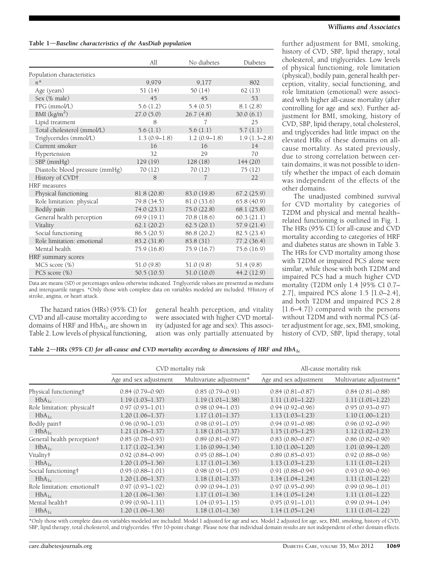# Table 1-Baseline characteristics of the AusDiab population further adjustment for BMI, smoking,

| Population characteristics<br>(physical), bodily pain, general health per-<br>802<br>$n^*$<br>9,979<br>9,177<br>ception, vitality, social functioning, and<br>51(14)<br>62(13)<br>Age (years)<br>50(14)<br>role limitation (emotional) were associ-<br>Sex (% male)<br>45<br>53<br>45<br>ated with higher all-cause mortality (after<br>FPG (mmol/L)<br>5.6(1.2)<br>5.4(0.5)<br>8.1(2.8)<br>controlling for age and sex). Further ad-<br>BMI $(kg/m2)$<br>27.0(5.0)<br>26.7(4.8)<br>30.0(6.1)<br>justment for BMI, smoking, history of<br>Lipid treatment<br>8<br>7<br>25<br>CVD, SBP, lipid therapy, total cholesterol,<br>5.7(1.1)<br>Total cholesterol (mmol/L)<br>5.6(1.1)<br>5.6(1.1)<br>and triglycerides had little impact on the<br>Triglycerides (mmol/L)<br>$1.3(0.9-1.8)$<br>$1.2(0.9-1.8)$<br>$1.9(1.3 - 2.8)$<br>elevated HRs of these domains on all-<br>Current smoker<br>16<br>16<br>14<br>cause mortality. As stated previously,<br>32<br>29<br>70<br>Hypertension<br>due to strong correlation between cer-<br>129(19)<br>128(18)<br>144(20)<br>$SBP$ (mm $Hg$ )<br>tain domains, it was not possible to iden-<br>Diastolic blood pressure (mmHg)<br>70(12)<br>70(12)<br>75(12)<br>tify whether the impact of each domain<br>History of CVD†<br>8<br>22<br>7<br>was independent of the effects of the<br>HRF measures<br>other domains.<br>Physical functioning<br>67.2(25.9)<br>81.8 (20.8)<br>83.0 (19.8)<br>The unadjusted combined survival<br>Role limitation: physical<br>65.8(40.9)<br>79.8 (34.5)<br>81.0 (33.6)<br>for CVD mortality by categories of<br>Bodily pain<br>68.1 (25.8)<br>75.0 (22.8)<br>74.0(23.1)<br>T2DM and physical and mental health-<br>General health perception<br>70.8 (18.6)<br>60.3(21.1)<br>69.9(19.1)<br>related functioning is outlined in Fig. 1.<br>57.9 (21.4)<br>Vitality<br>62.1(20.2)<br>62.5(20.1)<br>The HRs (95% CI) for all-cause and CVD<br>Social functioning<br>86.5(20.5)<br>86.8 (20.2)<br>82.5 (23.4)<br>mortality according to categories of HRF<br>Role limitation: emotional<br>83.2 (31.8)<br>83.8 (31)<br>77.2 (36.4)<br>and diabetes status are shown in Table 3.<br>Mental health<br>75.9 (16.8)<br>75.9 (16.7)<br>75.6 (16.9)<br>The HRs for CVD mortality among those<br>HRF summary scores<br>with T2DM or impaired PCS alone were<br>51.0(9.8)<br>MCS score (%)<br>51.0(9.8)<br>51.4(9.8)<br>similar, while those with both T2DM and<br>PCS score (%)<br>50.5(10.5)<br>51.0 (10.0)<br>44.2 (12.9)<br>impaired PCS had a much higher CVD | All | No diabetes | Diabetes | mstory of CVD, 3Dr, liptu therapy, total<br>cholesterol, and triglycerides. Low levels |
|---------------------------------------------------------------------------------------------------------------------------------------------------------------------------------------------------------------------------------------------------------------------------------------------------------------------------------------------------------------------------------------------------------------------------------------------------------------------------------------------------------------------------------------------------------------------------------------------------------------------------------------------------------------------------------------------------------------------------------------------------------------------------------------------------------------------------------------------------------------------------------------------------------------------------------------------------------------------------------------------------------------------------------------------------------------------------------------------------------------------------------------------------------------------------------------------------------------------------------------------------------------------------------------------------------------------------------------------------------------------------------------------------------------------------------------------------------------------------------------------------------------------------------------------------------------------------------------------------------------------------------------------------------------------------------------------------------------------------------------------------------------------------------------------------------------------------------------------------------------------------------------------------------------------------------------------------------------------------------------------------------------------------------------------------------------------------------------------------------------------------------------------------------------------------------------------------------------------------------------------------------------------------------------------------------------------------------------------------------------------------------------------------------------------------------------------------------------------------------------------------------------------------|-----|-------------|----------|----------------------------------------------------------------------------------------|
|                                                                                                                                                                                                                                                                                                                                                                                                                                                                                                                                                                                                                                                                                                                                                                                                                                                                                                                                                                                                                                                                                                                                                                                                                                                                                                                                                                                                                                                                                                                                                                                                                                                                                                                                                                                                                                                                                                                                                                                                                                                                                                                                                                                                                                                                                                                                                                                                                                                                                                                           |     |             |          | of physical functioning, role limitation                                               |
|                                                                                                                                                                                                                                                                                                                                                                                                                                                                                                                                                                                                                                                                                                                                                                                                                                                                                                                                                                                                                                                                                                                                                                                                                                                                                                                                                                                                                                                                                                                                                                                                                                                                                                                                                                                                                                                                                                                                                                                                                                                                                                                                                                                                                                                                                                                                                                                                                                                                                                                           |     |             |          |                                                                                        |
|                                                                                                                                                                                                                                                                                                                                                                                                                                                                                                                                                                                                                                                                                                                                                                                                                                                                                                                                                                                                                                                                                                                                                                                                                                                                                                                                                                                                                                                                                                                                                                                                                                                                                                                                                                                                                                                                                                                                                                                                                                                                                                                                                                                                                                                                                                                                                                                                                                                                                                                           |     |             |          |                                                                                        |
|                                                                                                                                                                                                                                                                                                                                                                                                                                                                                                                                                                                                                                                                                                                                                                                                                                                                                                                                                                                                                                                                                                                                                                                                                                                                                                                                                                                                                                                                                                                                                                                                                                                                                                                                                                                                                                                                                                                                                                                                                                                                                                                                                                                                                                                                                                                                                                                                                                                                                                                           |     |             |          |                                                                                        |
|                                                                                                                                                                                                                                                                                                                                                                                                                                                                                                                                                                                                                                                                                                                                                                                                                                                                                                                                                                                                                                                                                                                                                                                                                                                                                                                                                                                                                                                                                                                                                                                                                                                                                                                                                                                                                                                                                                                                                                                                                                                                                                                                                                                                                                                                                                                                                                                                                                                                                                                           |     |             |          |                                                                                        |
|                                                                                                                                                                                                                                                                                                                                                                                                                                                                                                                                                                                                                                                                                                                                                                                                                                                                                                                                                                                                                                                                                                                                                                                                                                                                                                                                                                                                                                                                                                                                                                                                                                                                                                                                                                                                                                                                                                                                                                                                                                                                                                                                                                                                                                                                                                                                                                                                                                                                                                                           |     |             |          |                                                                                        |
|                                                                                                                                                                                                                                                                                                                                                                                                                                                                                                                                                                                                                                                                                                                                                                                                                                                                                                                                                                                                                                                                                                                                                                                                                                                                                                                                                                                                                                                                                                                                                                                                                                                                                                                                                                                                                                                                                                                                                                                                                                                                                                                                                                                                                                                                                                                                                                                                                                                                                                                           |     |             |          |                                                                                        |
|                                                                                                                                                                                                                                                                                                                                                                                                                                                                                                                                                                                                                                                                                                                                                                                                                                                                                                                                                                                                                                                                                                                                                                                                                                                                                                                                                                                                                                                                                                                                                                                                                                                                                                                                                                                                                                                                                                                                                                                                                                                                                                                                                                                                                                                                                                                                                                                                                                                                                                                           |     |             |          |                                                                                        |
|                                                                                                                                                                                                                                                                                                                                                                                                                                                                                                                                                                                                                                                                                                                                                                                                                                                                                                                                                                                                                                                                                                                                                                                                                                                                                                                                                                                                                                                                                                                                                                                                                                                                                                                                                                                                                                                                                                                                                                                                                                                                                                                                                                                                                                                                                                                                                                                                                                                                                                                           |     |             |          |                                                                                        |
|                                                                                                                                                                                                                                                                                                                                                                                                                                                                                                                                                                                                                                                                                                                                                                                                                                                                                                                                                                                                                                                                                                                                                                                                                                                                                                                                                                                                                                                                                                                                                                                                                                                                                                                                                                                                                                                                                                                                                                                                                                                                                                                                                                                                                                                                                                                                                                                                                                                                                                                           |     |             |          |                                                                                        |
|                                                                                                                                                                                                                                                                                                                                                                                                                                                                                                                                                                                                                                                                                                                                                                                                                                                                                                                                                                                                                                                                                                                                                                                                                                                                                                                                                                                                                                                                                                                                                                                                                                                                                                                                                                                                                                                                                                                                                                                                                                                                                                                                                                                                                                                                                                                                                                                                                                                                                                                           |     |             |          |                                                                                        |
|                                                                                                                                                                                                                                                                                                                                                                                                                                                                                                                                                                                                                                                                                                                                                                                                                                                                                                                                                                                                                                                                                                                                                                                                                                                                                                                                                                                                                                                                                                                                                                                                                                                                                                                                                                                                                                                                                                                                                                                                                                                                                                                                                                                                                                                                                                                                                                                                                                                                                                                           |     |             |          |                                                                                        |
|                                                                                                                                                                                                                                                                                                                                                                                                                                                                                                                                                                                                                                                                                                                                                                                                                                                                                                                                                                                                                                                                                                                                                                                                                                                                                                                                                                                                                                                                                                                                                                                                                                                                                                                                                                                                                                                                                                                                                                                                                                                                                                                                                                                                                                                                                                                                                                                                                                                                                                                           |     |             |          |                                                                                        |
|                                                                                                                                                                                                                                                                                                                                                                                                                                                                                                                                                                                                                                                                                                                                                                                                                                                                                                                                                                                                                                                                                                                                                                                                                                                                                                                                                                                                                                                                                                                                                                                                                                                                                                                                                                                                                                                                                                                                                                                                                                                                                                                                                                                                                                                                                                                                                                                                                                                                                                                           |     |             |          |                                                                                        |
|                                                                                                                                                                                                                                                                                                                                                                                                                                                                                                                                                                                                                                                                                                                                                                                                                                                                                                                                                                                                                                                                                                                                                                                                                                                                                                                                                                                                                                                                                                                                                                                                                                                                                                                                                                                                                                                                                                                                                                                                                                                                                                                                                                                                                                                                                                                                                                                                                                                                                                                           |     |             |          |                                                                                        |
|                                                                                                                                                                                                                                                                                                                                                                                                                                                                                                                                                                                                                                                                                                                                                                                                                                                                                                                                                                                                                                                                                                                                                                                                                                                                                                                                                                                                                                                                                                                                                                                                                                                                                                                                                                                                                                                                                                                                                                                                                                                                                                                                                                                                                                                                                                                                                                                                                                                                                                                           |     |             |          |                                                                                        |
|                                                                                                                                                                                                                                                                                                                                                                                                                                                                                                                                                                                                                                                                                                                                                                                                                                                                                                                                                                                                                                                                                                                                                                                                                                                                                                                                                                                                                                                                                                                                                                                                                                                                                                                                                                                                                                                                                                                                                                                                                                                                                                                                                                                                                                                                                                                                                                                                                                                                                                                           |     |             |          |                                                                                        |
|                                                                                                                                                                                                                                                                                                                                                                                                                                                                                                                                                                                                                                                                                                                                                                                                                                                                                                                                                                                                                                                                                                                                                                                                                                                                                                                                                                                                                                                                                                                                                                                                                                                                                                                                                                                                                                                                                                                                                                                                                                                                                                                                                                                                                                                                                                                                                                                                                                                                                                                           |     |             |          |                                                                                        |
|                                                                                                                                                                                                                                                                                                                                                                                                                                                                                                                                                                                                                                                                                                                                                                                                                                                                                                                                                                                                                                                                                                                                                                                                                                                                                                                                                                                                                                                                                                                                                                                                                                                                                                                                                                                                                                                                                                                                                                                                                                                                                                                                                                                                                                                                                                                                                                                                                                                                                                                           |     |             |          |                                                                                        |
|                                                                                                                                                                                                                                                                                                                                                                                                                                                                                                                                                                                                                                                                                                                                                                                                                                                                                                                                                                                                                                                                                                                                                                                                                                                                                                                                                                                                                                                                                                                                                                                                                                                                                                                                                                                                                                                                                                                                                                                                                                                                                                                                                                                                                                                                                                                                                                                                                                                                                                                           |     |             |          |                                                                                        |
|                                                                                                                                                                                                                                                                                                                                                                                                                                                                                                                                                                                                                                                                                                                                                                                                                                                                                                                                                                                                                                                                                                                                                                                                                                                                                                                                                                                                                                                                                                                                                                                                                                                                                                                                                                                                                                                                                                                                                                                                                                                                                                                                                                                                                                                                                                                                                                                                                                                                                                                           |     |             |          |                                                                                        |
|                                                                                                                                                                                                                                                                                                                                                                                                                                                                                                                                                                                                                                                                                                                                                                                                                                                                                                                                                                                                                                                                                                                                                                                                                                                                                                                                                                                                                                                                                                                                                                                                                                                                                                                                                                                                                                                                                                                                                                                                                                                                                                                                                                                                                                                                                                                                                                                                                                                                                                                           |     |             |          |                                                                                        |
|                                                                                                                                                                                                                                                                                                                                                                                                                                                                                                                                                                                                                                                                                                                                                                                                                                                                                                                                                                                                                                                                                                                                                                                                                                                                                                                                                                                                                                                                                                                                                                                                                                                                                                                                                                                                                                                                                                                                                                                                                                                                                                                                                                                                                                                                                                                                                                                                                                                                                                                           |     |             |          |                                                                                        |
|                                                                                                                                                                                                                                                                                                                                                                                                                                                                                                                                                                                                                                                                                                                                                                                                                                                                                                                                                                                                                                                                                                                                                                                                                                                                                                                                                                                                                                                                                                                                                                                                                                                                                                                                                                                                                                                                                                                                                                                                                                                                                                                                                                                                                                                                                                                                                                                                                                                                                                                           |     |             |          |                                                                                        |
|                                                                                                                                                                                                                                                                                                                                                                                                                                                                                                                                                                                                                                                                                                                                                                                                                                                                                                                                                                                                                                                                                                                                                                                                                                                                                                                                                                                                                                                                                                                                                                                                                                                                                                                                                                                                                                                                                                                                                                                                                                                                                                                                                                                                                                                                                                                                                                                                                                                                                                                           |     |             |          |                                                                                        |
|                                                                                                                                                                                                                                                                                                                                                                                                                                                                                                                                                                                                                                                                                                                                                                                                                                                                                                                                                                                                                                                                                                                                                                                                                                                                                                                                                                                                                                                                                                                                                                                                                                                                                                                                                                                                                                                                                                                                                                                                                                                                                                                                                                                                                                                                                                                                                                                                                                                                                                                           |     |             |          |                                                                                        |

Data are means (SD) or percentages unless otherwise indicated. Triglyceride values are presented as medians mortality (T2DM only 1.4 [95% CI 0.7–<br>and interquartile ranges. \*Only those with complete data on variables modele

CVD and all-cause mortality according to were associated with higher CVD mortaldomains of HRF and HbA<sub>1c</sub> are shown in ity (adjusted for age and sex). This associ- ter adjustment for age, sex, BMI, smoking,<br>Table 2. Low levels of physical functioning, ation was only partially attenuated by history of

ation was only partially attenuated by

#### Williams and Associates

history of CVD, SBP, lipid therapy, total cholesterol, and triglycerides. Low levels of physical functioning, role limitation (physical), bodily pain, general health perception, vitality, social functioning, and role limitation (emotional) were associated with higher all-cause mortality (after controlling for age and sex). Further adjustment for BMI, smoking, history of CVD, SBP, lipid therapy, total cholesterol, and triglycerides had little impact on the elevated HRs of these domains on allcause mortality. As stated previously, due to strong correlation between certain domains, it was not possible to identify whether the impact of each domain was independent of the effects of the other domains.

The unadjusted combined survival for CVD mortality by categories of and both T2DM and impaired PCS 2.8 The hazard ratios (HRs) (95% CI) for general health perception, and vitality [1.6–4.7]) compared with the persons<br>2 and all-cause mortality according to were associated with higher CVD mortal- without T2DM and with normal

| Table 2—HRs (95% CI) for all-cause and CVD mortality according to dimensions of HRF and HbA $_{1c}$ |  |  |
|-----------------------------------------------------------------------------------------------------|--|--|
|-----------------------------------------------------------------------------------------------------|--|--|

|                             | CVD mortality risk     |                          | All-cause mortality risk |                          |  |
|-----------------------------|------------------------|--------------------------|--------------------------|--------------------------|--|
|                             | Age and sex adjustment | Multivariate adjustment* | Age and sex adjustment   | Multivariate adjustment* |  |
| Physical functioning†       | $0.84(0.79 - 0.90)$    | $0.85(0.79-0.91)$        | $0.84(0.81 - 0.87)$      | $0.84(0.81 - 0.88)$      |  |
| $HbA_{1c}$                  | $1.19(1.03 - 1.37)$    | $1.19(1.01 - 1.38)$      | $1.11(1.01-1.22)$        | $1.11(1.01-1.22)$        |  |
| Role limitation: physical†  | $0.97(0.93 - 1.01)$    | $0.98(0.94 - 1.03)$      | $0.94(0.92 - 0.96)$      | $0.95(0.93 - 0.97)$      |  |
| $HbA_{1c}$                  | $1.20(1.06 - 1.37)$    | $1.17(1.01 - 1.37)$      | $1.13(1.03 - 1.23)$      | $1.10(1.00-1.21)$        |  |
| Bodily pain†                | $0.96(0.90 - 1.03)$    | $0.98(0.91 - 1.05)$      | $0.94(0.91 - 0.98)$      | $0.96(0.92 - 0.99)$      |  |
| $HbA_{1c}$                  | $1.21(1.06-1.37)$      | $1.18(1.01 - 1.37)$      | $1.15(1.05 - 1.25)$      | $1.12(1.02 - 1.23)$      |  |
| General health perception†  | $0.85(0.78 - 0.93)$    | $0.89(0.81 - 0.97)$      | $0.83(0.80 - 0.87)$      | $0.86(0.82 - 0.90)$      |  |
| $HbA_{1c}$                  | $1.17(1.02 - 1.34)$    | $1.16(0.99 - 1.34)$      | $1.10(1.00 - 1.20)$      | $1.01(0.99 - 1.20)$      |  |
| Vitality†                   | $0.92(0.84 - 0.99)$    | $0.95(0.88 - 1.04)$      | $0.89(0.85 - 0.93)$      | $0.92(0.88 - 0.96)$      |  |
| $HbA_{1c}$                  | $1.20(1.05 - 1.36)$    | $1.17(1.01 - 1.36)$      | $1.13(1.03 - 1.23)$      | $1.11(1.01-1.21)$        |  |
| Social functioning†         | $0.95(0.88 - 1.01)$    | $0.98(0.91 - 1.05)$      | $0.91(0.88 - 0.94)$      | $0.93(0.90 - 0.96)$      |  |
| $HbA_{1c}$                  | $1.20(1.06 - 1.37)$    | $1.18(1.01 - 1.37)$      | $1.14(1.04 - 1.24)$      | $1.11(1.01 - 1.22)$      |  |
| Role limitation: emotional† | $0.97(0.93 - 1.02)$    | $0.99(0.94 - 1.03)$      | $0.97(0.95 - 0.99)$      | $0.99(0.96 - 1.01)$      |  |
| $HbA_{1c}$                  | $1.20(1.06 - 1.36)$    | $1.17(1.01-1.36)$        | $1.14(1.05 - 1.24)$      | $1.11(1.01-1.22)$        |  |
| Mental health†              | $0.99(0.90 - 1.11)$    | $1.04(0.93 - 1.15)$      | $0.95(0.91 - 1.01)$      | $0.99(0.94 - 1.04)$      |  |
| $HbA_{1c}$                  | $1.20(1.06 - 1.36)$    | $1.18(1.01 - 1.36)$      | $1.14(1.05 - 1.24)$      | $1.11(1.01-1.22)$        |  |

\*Only those with complete data on variables modeled are included. Model 1 adjusted for age and sex. Model 2 adjusted for age, sex, BMI, smoking, history of CVD, SBP, lipid therapy, total cholesterol, and triglycerides. †Per 10-point change. Please note that individual domain results are not independent of other domain effects.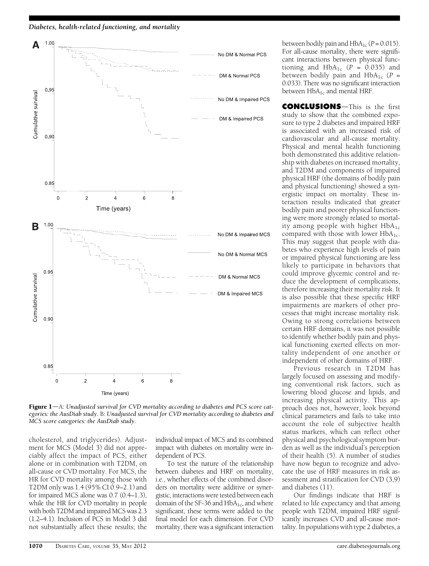Diabetes, health-related functioning, and mortality



Figure  $1$ —A: Unadjusted survival for CVD mortality according to diabetes and PCS score categories: the AusDiab study. B: Unadjusted survival for CVD mortality according to diabetes and MCS score categories: the AusDiab study.

cholesterol, and triglycerides). Adjustment for MCS (Model 3) did not appreciably affect the impact of PCS, either alone or in combination with T2DM, on all-cause or CVD mortality. For MCS, the HR for CVD mortality among those with T2DM onlywas 1.4 (95% CI 0.9–2.1) and for impaired MCS alone was 0.7 (0.4–1.3), while the HR for CVD mortality in people with both T2DM and impaired MCSwas 2.3 (1.2–4.1). Inclusion of PCS in Model 3 did not substantially affect these results; the

individual impact of MCS and its combined impact with diabetes on mortality were independent of PCS.

To test the nature of the relationship between diabetes and HRF on mortality, i.e., whether effects of the combined disorders on mortality were additive or synergistic, interactionswere tested between each domain of the SF-36 and  $HbA_{1c}$ , and where significant, these terms were added to the final model for each dimension. For CVD mortality, there was a significant interaction

between bodily pain and  $HbA_{1c}$  ( $P = 0.015$ ). For all-cause mortality, there were significant interactions between physical functioning and  $HbA_{1c}$  (P = 0.035) and between bodily pain and  $HbA_{1c}$  (P = 0.033). There was no significant interaction between HbA<sub>1c</sub> and mental HRF.

**CONCLUSIONS**—This is the first study to show that the combined exposure to type 2 diabetes and impaired HRF is associated with an increased risk of cardiovascular and all-cause mortality. Physical and mental health functioning both demonstrated this additive relationship with diabetes on increased mortality, and T2DM and components of impaired physical HRF (the domains of bodily pain and physical functioning) showed a synergistic impact on mortality. These interaction results indicated that greater bodily pain and poorer physical functioning were more strongly related to mortality among people with higher  $HbA_{1c}$ compared with those with lower  $HbA_{1c}$ . This may suggest that people with diabetes who experience high levels of pain or impaired physical functioning are less likely to participate in behaviors that could improve glycemic control and reduce the development of complications, therefore increasing their mortality risk. It is also possible that these specific HRF impairments are markers of other processes that might increase mortality risk. Owing to strong correlations between certain HRF domains, it was not possible to identify whether bodily pain and physical functioning exerted effects on mortality independent of one another or independent of other domains of HRF.

Previous research in T2DM has largely focused on assessing and modifying conventional risk factors, such as lowering blood glucose and lipids, and increasing physical activity. This approach does not, however, look beyond clinical parameters and fails to take into account the role of subjective health status markers, which can reflect other physical and psychological symptom burden as well as the individual's perception of their health (5). A number of studies have now begun to recognize and advocate the use of HRF measures in risk assessment and stratification for CVD (3,9) and diabetes (11).

Our findings indicate that HRF is related to life expectancy and that among people with T2DM, impaired HRF significantly increases CVD and all-cause mortality. In populations with type 2 diabetes, a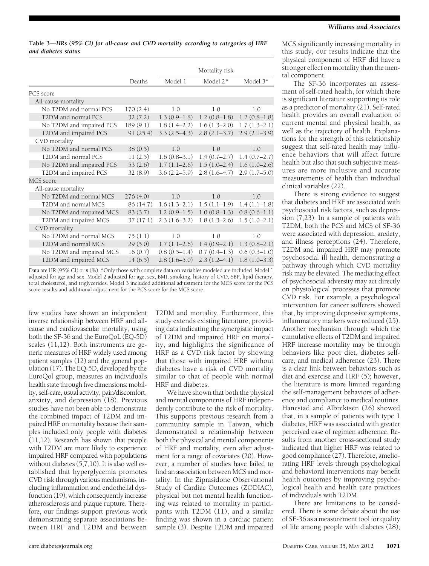Table 3-HRs (95% CI) for all-cause and CVD mortality according to categories of HRF and diabetes status

|                          |           |                | Mortality risk |                |
|--------------------------|-----------|----------------|----------------|----------------|
|                          | Deaths    | Model 1        | Model 2*       | Model 3*       |
| PCS score                |           |                |                |                |
| All-cause mortality      |           |                |                |                |
| No T2DM and normal PCS   | 170(2.4)  | 1.0            | 1.0            | 1.0            |
| T2DM and normal PCS      | 32(7.2)   | $1.3(0.9-1.8)$ | $1.2(0.8-1.8)$ | $1.2(0.8-1.8)$ |
| No T2DM and impaired PCS | 189(9.1)  | $1.8(1.4-2.2)$ | $1.6(1.3-2.0)$ | $1.7(1.3-2.1)$ |
| T2DM and impaired PCS    | 91(25.4)  | $3.3(2.5-4.3)$ | $2.8(2.1-3.7)$ | $2.9(2.1-3.9)$ |
| CVD mortality            |           |                |                |                |
| No T2DM and normal PCS   | 38(0.5)   | 1 <sub>0</sub> | 1 <sub>0</sub> | 1.0            |
| T2DM and normal PCS      | 11(2.5)   | $1.6(0.8-3.1)$ | $1.4(0.7-2.7)$ | $1.4(0.7-2.7)$ |
| No T2DM and impaired PCS | 53(2.6)   | $1.7(1.1-2.6)$ | $1.5(1.0-2.4)$ | $1.6(1.0-2.6)$ |
| T2DM and impaired PCS    | 32(8.9)   | $3.6(2.2-5.9)$ | $2.8(1.6-4.7)$ | $2.9(1.7-5.0)$ |
| MCS score                |           |                |                |                |
| All-cause mortality      |           |                |                |                |
| No T2DM and normal MCS   | 276(4.0)  | 1.0            | 1 <sub>0</sub> | 1 <sub>0</sub> |
| T2DM and normal MCS      | 86 (14.7) | $1.6(1.3-2.1)$ | $1.5(1.1-1.9)$ | $1.4(1.1-1.8)$ |
| No T2DM and impaired MCS | 83(3.7)   | $1.2(0.9-1.5)$ | $1.0(0.8-1.3)$ | $0.8(0.6-1.1)$ |
| T2DM and impaired MCS    | 37(17.1)  | $2.3(1.6-3.2)$ | $1.8(1.3-2.6)$ | $1.5(1.0-2.1)$ |
| CVD mortality            |           |                |                |                |
| No T2DM and normal MCS   | 75(1.1)   | 1.0            | 1.0            | 1.0            |
| T2DM and normal MCS      | 29(5.0)   | $1.7(1.1-2.6)$ | $1.4(0.9-2.1)$ | $1.3(0.8-2.1)$ |
| No T2DM and impaired MCS | 16(0.7)   | $0.8(0.5-1.4)$ | $0.7(0.4-1.3)$ | $0.6(0.3-1.0)$ |
| T2DM and impaired MCS    | 14(6.5)   | $2.8(1.6-5.0)$ | $2.3(1.2-4.1)$ | $1.8(1.0-3.3)$ |

Data are HR (95% CI) or n (%). \*Only those with complete data on variables modeled are included. Model 1 adjusted for age and sex. Model 2 adjusted for age, sex, BMI, smoking, history of CVD, SBP, lipid therapy, total cholesterol, and triglycerides. Model 3 included additional adjustment for the MCS score for the PCS score results and additional adjustment for the PCS score for the MCS score.

few studies have shown an independent T2DM and mortality. Furthermore, this inverse relationship between HRF and all- study extends existing literature, providcause and cardiovascular mortality, using ing data indicating the synergistic impact both the SF-36 and the EuroQoL (EQ-5D) of T2DM and impaired HRF on mortalscales  $(11,12)$ . Both instruments are ge- ity, and highlights the significance of neric measures of HRF widely used among HRF as a CVD risk factor by showing patient samples (12) and the general pop- that those with impaired HRF without ulation (17). The EQ-5D, developed by the diabetes have a risk of CVD mortality EuroQol group, measures an individual's similar to that of people with normal health state through five dimensions: mobil- HRF and diabetes. ity,self-care, usual activity, pain/discomfort, We have shown that both the physical anxiety, and depression (18). Previous and mental components of HRF indepenthe combined impact of T2DM and im- This supports previous research from a paired HRF onmortality because theirsam- community sample in Taiwan, which ples included only people with diabetes demonstrated a relationship between (11,12). Research has shown that people both the physical and mental components with T2DM are more likely to experience of HRF and mortality, even after adjustimpaired HRF compared with populations ment for a range of covariates (20). Howwithout diabetes (5,7,10). It is also well es- ever, a number of studies have failed to tablished that hyperglycemia promotes find an association between MCS and mortablished that hyperglycemia promotes CVD risk through various mechanisms, in- tality. In the Ziprasidone Observational function (19), which consequently increase physical but not mental health functionatherosclerosis and plaque rupture. There- ing was related to mortality in partici-<br>fore, our findings support previous work pants with T2DM (11), and a similar demonstrating separate associations be- finding was shown in a cardiac patient

dently contribute to the risk of mortality. Study of Cardiac Outcomes (ZODIAC), pants with T2DM  $(11)$ , and a similar sample (3). Despite T2DM and impaired

MCS significantly increasing mortality in this study, our results indicate that the physical component of HRF did have a stronger effect on mortality than the mental component.

The SF-36 incorporates an assessment of self-rated health, for which there is significant literature supporting its role as a predictor of mortality (21). Self-rated health provides an overall evaluation of current mental and physical health, as well as the trajectory of health. Explanations for the strength of this relationship suggest that self-rated health may influence behaviors that will affect future health but also that such subjective measures are more inclusive and accurate measurements of health than individual clinical variables (22).

There is strong evidence to suggest that diabetes and HRF are associated with psychosocial risk factors, such as depression (7,23). In a sample of patients with T2DM, both the PCS and MCS of SF-36 were associated with depression, anxiety, and illness perceptions (24). Therefore, T2DM and impaired HRF may promote psychosocial ill health, demonstrating a pathway through which CVD mortality risk may be elevated. The mediating effect of psychosocial adversity may act directly on physiological processes that promote CVD risk. For example, a psychological intervention for cancer sufferers showed that, by improving depressive symptoms, inflammatory markers were reduced (25). Another mechanism through which the cumulative effects of T2DM and impaired HRF increase mortality may be through behaviors like poor diet, diabetes selfcare, and medical adherence (23). There is a clear link between behaviors such as diet and exercise and HRF (5); however, the literature is more limited regarding the self-management behaviors of adherence and compliance to medical routines. Hanestad and Albrektsen (26) showed that, in a sample of patients with type 1 diabetes, HRF was associated with greater perceived ease of regimen adherence. Results from another cross-sectional study indicated that higher HRF was related to good compliance (27). Therefore, ameliorating HRF levels through psychological and behavioral interventions may benefit health outcomes by improving psychological health and health care practices of individuals with T2DM.

There are limitations to be considered. There is some debate about the use of SF-36 as a measurement tool for quality of life among people with diabetes (28);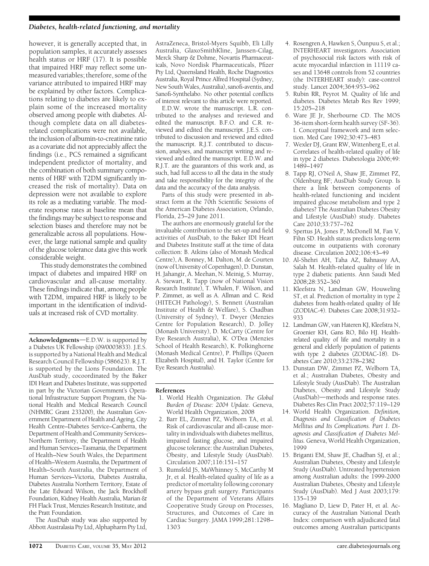# Diabetes, health-related functioning, and mortality

however, it is generally accepted that, in population samples, it accurately assesses health status or HRF (17). It is possible that impaired HRF may reflect some unmeasured variables; therefore, some of the variance attributed to impaired HRF may be explained by other factors. Complications relating to diabetes are likely to explain some of the increased mortality observed among people with diabetes. Although complete data on all diabetesrelated complications were not available, the inclusion of albumin-to-creatinine ratio as a covariate did not appreciably affect the findings (i.e., PCS remained a significant independent predictor of mortality, and the combination of both summary components of HRF with T2DM significantly increased the risk of mortality). Data on depression were not available to explore its role as a mediating variable. The moderate response rates at baseline mean that the findingsmay be subject to response and selection biases and therefore may not be generalizable across all populations. However, the large national sample and quality of the glucose tolerance data give this work considerable weight.

This study demonstrates the combined impact of diabetes and impaired HRF on cardiovascular and all-cause mortality. These findings indicate that, among people with T2DM, impaired HRF is likely to be important in the identification of individuals at increased risk of CVD mortality.

Acknowledgments-E.D.W. is supported by a Diabetes UK Fellowship (09/0003833). J.E.S. is supported by a National Health and Medical Research Council Fellowship (586623). R.J.T. is supported by the Lions Foundation. The AusDiab study, cocoordinated by the Baker IDI Heart and Diabetes Institute, was supported in part by the Victorian Government's Operational Infrastructure Support Program, the National Health and Medical Research Council (NHMRC Grant 233200), the Australian Government Department of Health and Ageing, City Health Centre–Diabetes Service–Canberra, the Department of Health and Community Services-Northern Territory, the Department of Health and Human Services–Tasmania, the Department of Health–New South Wales, the Department of Health–Western Australia, the Department of Health–South Australia, the Department of Human Services–Victoria, Diabetes Australia, Diabetes Australia Northern Territory, Estate of the Late Edward Wilson, the Jack Brockhoff Foundation, Kidney Health Australia, Marian & FH Flack Trust, Menzies Research Institute, and the Pratt Foundation.

The AusDiab study was also supported by Abbott Australasia Pty Ltd, Alphapharm Pty Ltd, AstraZeneca, Bristol-Myers Squibb, Eli Lilly Australia, GlaxoSmithKline, Janssen-Cilag, Merck Sharp & Dohme, Novartis Pharmaceuticals, Novo Nordisk Pharmaceuticals, Pfizer Pty Ltd, Queensland Health, Roche Diagnostics Australia, Royal Prince Alfred Hospital (Sydney, New South Wales, Australia), sanofi-aventis, and Sanofi-Synthelabo. No other potential conflicts of interest relevant to this article were reported.

E.D.W. wrote the manuscript. L.R. contributed to the analyses and reviewed and edited the manuscript. B.F.O. and C.R. reviewed and edited the manuscript. J.E.S. contributed to discussion and reviewed and edited the manuscript. R.J.T. contributed to discussion, analyses, and manuscript writing and reviewed and edited the manuscript. E.D.W. and R.J.T. are the guarantors of this work and, as such, had full access to all the data in the study and take responsibility for the integrity of the data and the accuracy of the data analysis.

Parts of this study were presented in abstract form at the 70th Scientific Sessions of the American Diabetes Association, Orlando, Florida, 25–29 June 2011.

The authors are enormously grateful for the invaluable contribution to the set-up and field activities of AusDiab, to the Baker IDI Heart and Diabetes Institute staff at the time of data collection: B. Atkins (also of Monash Medical Centre), A. Bonney, M. Dalton, M. de Courten (now of University of Copenhagen), D. Dunstan, H. Jahangir, A. Meehan, N. Meinig, S. Murray, A. Stewart, R. Tapp (now of National Vision Research Institute), T. Whalen, F. Wilson, and P. Zimmet, as well as A. Allman and C. Reid (HITECH Pathology), S. Bennett (Australian Institute of Health & Welfare), S. Chadban (University of Sydney), T. Dwyer (Menzies Centre for Population Research), D. Jolley (Monash University), D. McCarty (Centre for Eye Research Australia), K. O'Dea (Menzies School of Health Research), K. Polkinghorne (Monash Medical Centre), P. Phillips (Queen Elizabeth Hospital), and H. Taylor (Centre for Eye Research Australia).

### References

- 1. World Health Organization. The Global Burden of Disease: 2004 Update. Geneva, World Health Organization, 2008
- 2. Barr EL, Zimmet PZ, Welborn TA, et al. Risk of cardiovascular and all-cause mortality in individualswith diabetes mellitus, impaired fasting glucose, and impaired glucose tolerance: the Australian Diabetes, Obesity, and Lifestyle Study (AusDiab). Circulation 2007;116:151–157
- 3. Rumsfeld JS, MaWhinney S, McCarthy M Jr, et al. Health-related quality of life as a predictor of mortality following coronary artery bypass graft surgery. Participants of the Department of Veterans Affairs Cooperative Study Group on Processes, Structures, and Outcomes of Care in Cardiac Surgery. JAMA 1999;281:1298– 1303
- 4. Rosengren A, Hawken S, Ôunpuu S, et al.; INTERHEART investigators. Association of psychosocial risk factors with risk of acute myocardial infarction in 11119 cases and 13648 controls from 52 countries (the INTERHEART study): case-control study. Lancet 2004;364:953–962
- 5. Rubin RR, Peyrot M. Quality of life and diabetes. Diabetes Metab Res Rev 1999; 15:205–218
- 6. Ware JE Jr, Sherbourne CD. The MOS 36-item short-form health survey (SF-36). I. Conceptual framework and item selection. Med Care 1992;30:473–483
- 7. Wexler DJ, Grant RW, Wittenberg E, et al. Correlates of health-related quality of life in type 2 diabetes. Diabetologia 2006;49: 1489–1497
- 8. Tapp RJ, O'Neil A, Shaw JE, Zimmet PZ, Oldenburg BF; AusDiab Study Group. Is there a link between components of health-related functioning and incident impaired glucose metabolism and type 2 diabetes? The Australian Diabetes Obesity and Lifestyle (AusDiab) study. Diabetes Care 2010;33:757–762
- 9. Spertus JA, Jones P, McDonell M, Fan V, Fihn SD. Health status predicts long-term outcome in outpatients with coronary disease. Circulation 2002;106:43–49
- 10. Al-Shehri AH, Taha AZ, Bahnassy AA, Salah M. Health-related quality of life in type 2 diabetic patients. Ann Saudi Med 2008;28:352–360
- 11. Kleefstra N, Landman GW, Houweling ST, et al. Prediction of mortality in type 2 diabetes from health-related quality of life (ZODIAC-4). Diabetes Care 2008;31:932– 933
- 12. Landman GW, van Hateren KJ, Kleefstra N, Groenier KH, Gans RO, Bilo HJ. Healthrelated quality of life and mortality in a general and elderly population of patients with type 2 diabetes (ZODIAC-18). Diabetes Care 2010;33:2378–2382
- 13. Dunstan DW, Zimmet PZ, Welborn TA, et al.; Australian Diabetes, Obesity and Lifestyle Study (AusDiab). The Australian Diabetes, Obesity and Lifestyle Study (AusDiab)—methods and response rates. Diabetes Res Clin Pract 2002;57:119–129
- 14. World Health Organization. Definition, Diagnosis and Classification of Diabetes Mellitus and Its Complications. Part 1. Diagnosis and Classification of Diabetes Mellitus. Geneva, World Health Organization, 1999
- 15. Briganti EM, Shaw JE, Chadban SJ, et al.; Australian Diabetes, Obesity and Lifestyle Study (AusDiab). Untreated hypertension among Australian adults: the 1999-2000 Australian Diabetes, Obesity and Lifestyle Study (AusDiab). Med J Aust 2003;179: 135–139
- 16. Magliano D, Liew D, Pater H, et al. Accuracy of the Australian National Death Index: comparison with adjudicated fatal outcomes among Australian participants